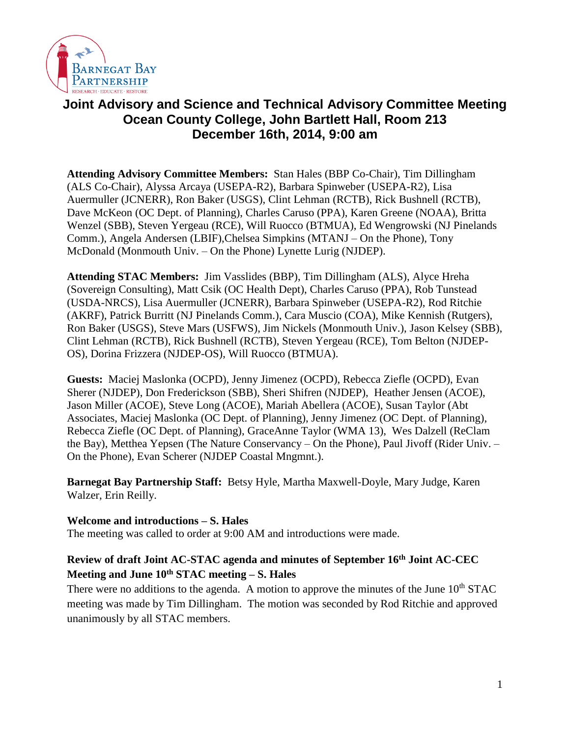

# **Joint Advisory and Science and Technical Advisory Committee Meeting Ocean County College, John Bartlett Hall, Room 213 December 16th, 2014, 9:00 am**

**Attending Advisory Committee Members:** Stan Hales (BBP Co-Chair), Tim Dillingham (ALS Co-Chair), Alyssa Arcaya (USEPA-R2), Barbara Spinweber (USEPA-R2), Lisa Auermuller (JCNERR), Ron Baker (USGS), Clint Lehman (RCTB), Rick Bushnell (RCTB), Dave McKeon (OC Dept. of Planning), Charles Caruso (PPA), Karen Greene (NOAA), Britta Wenzel (SBB), Steven Yergeau (RCE), Will Ruocco (BTMUA), Ed Wengrowski (NJ Pinelands Comm.), Angela Andersen (LBIF),Chelsea Simpkins (MTANJ – On the Phone), Tony McDonald (Monmouth Univ. – On the Phone) Lynette Lurig (NJDEP).

**Attending STAC Members:** Jim Vasslides (BBP), Tim Dillingham (ALS), Alyce Hreha (Sovereign Consulting), Matt Csik (OC Health Dept), Charles Caruso (PPA), Rob Tunstead (USDA-NRCS), Lisa Auermuller (JCNERR), Barbara Spinweber (USEPA-R2), Rod Ritchie (AKRF), Patrick Burritt (NJ Pinelands Comm.), Cara Muscio (COA), Mike Kennish (Rutgers), Ron Baker (USGS), Steve Mars (USFWS), Jim Nickels (Monmouth Univ.), Jason Kelsey (SBB), Clint Lehman (RCTB), Rick Bushnell (RCTB), Steven Yergeau (RCE), Tom Belton (NJDEP-OS), Dorina Frizzera (NJDEP-OS), Will Ruocco (BTMUA).

**Guests:** Maciej Maslonka (OCPD), Jenny Jimenez (OCPD), Rebecca Ziefle (OCPD), Evan Sherer (NJDEP), Don Frederickson (SBB), Sheri Shifren (NJDEP), Heather Jensen (ACOE), Jason Miller (ACOE), Steve Long (ACOE), Mariah Abellera (ACOE), Susan Taylor (Abt Associates, Maciej Maslonka (OC Dept. of Planning), Jenny Jimenez (OC Dept. of Planning), Rebecca Ziefle (OC Dept. of Planning), GraceAnne Taylor (WMA 13), Wes Dalzell (ReClam the Bay), Metthea Yepsen (The Nature Conservancy – On the Phone), Paul Jivoff (Rider Univ. – On the Phone), Evan Scherer (NJDEP Coastal Mngmnt.).

**Barnegat Bay Partnership Staff:** Betsy Hyle, Martha Maxwell-Doyle, Mary Judge, Karen Walzer, Erin Reilly.

**Welcome and introductions – S. Hales**

The meeting was called to order at 9:00 AM and introductions were made.

## **Review of draft Joint AC-STAC agenda and minutes of September 16th Joint AC-CEC Meeting and June 10th STAC meeting – S. Hales**

There were no additions to the agenda. A motion to approve the minutes of the June  $10<sup>th</sup> STAC$ meeting was made by Tim Dillingham. The motion was seconded by Rod Ritchie and approved unanimously by all STAC members.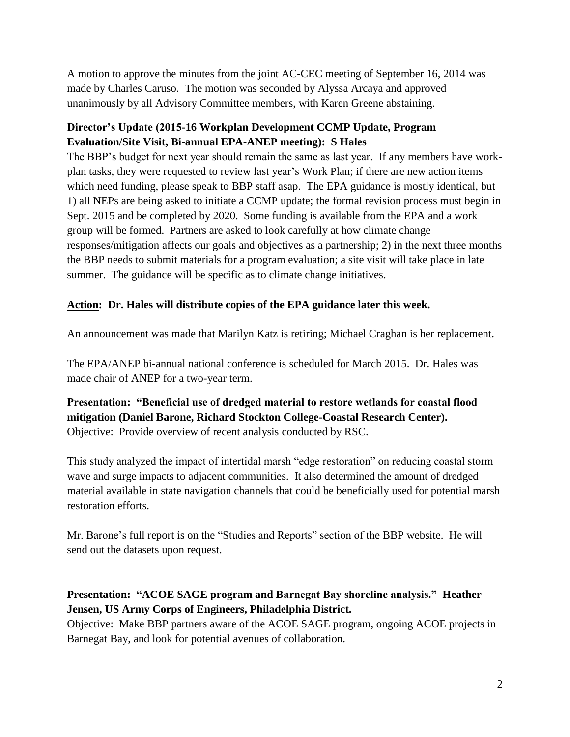A motion to approve the minutes from the joint AC-CEC meeting of September 16, 2014 was made by Charles Caruso. The motion was seconded by Alyssa Arcaya and approved unanimously by all Advisory Committee members, with Karen Greene abstaining.

## **Director's Update (2015-16 Workplan Development CCMP Update, Program Evaluation/Site Visit, Bi-annual EPA-ANEP meeting): S Hales**

The BBP's budget for next year should remain the same as last year. If any members have workplan tasks, they were requested to review last year's Work Plan; if there are new action items which need funding, please speak to BBP staff asap. The EPA guidance is mostly identical, but 1) all NEPs are being asked to initiate a CCMP update; the formal revision process must begin in Sept. 2015 and be completed by 2020. Some funding is available from the EPA and a work group will be formed. Partners are asked to look carefully at how climate change responses/mitigation affects our goals and objectives as a partnership; 2) in the next three months the BBP needs to submit materials for a program evaluation; a site visit will take place in late summer. The guidance will be specific as to climate change initiatives.

## **Action: Dr. Hales will distribute copies of the EPA guidance later this week.**

An announcement was made that Marilyn Katz is retiring; Michael Craghan is her replacement.

The EPA/ANEP bi-annual national conference is scheduled for March 2015. Dr. Hales was made chair of ANEP for a two-year term.

## **Presentation: "Beneficial use of dredged material to restore wetlands for coastal flood mitigation (Daniel Barone, Richard Stockton College-Coastal Research Center).** Objective: Provide overview of recent analysis conducted by RSC.

This study analyzed the impact of intertidal marsh "edge restoration" on reducing coastal storm wave and surge impacts to adjacent communities. It also determined the amount of dredged material available in state navigation channels that could be beneficially used for potential marsh restoration efforts.

Mr. Barone's full report is on the "Studies and Reports" section of the BBP website. He will send out the datasets upon request.

## **Presentation: "ACOE SAGE program and Barnegat Bay shoreline analysis." Heather Jensen, US Army Corps of Engineers, Philadelphia District.**

Objective: Make BBP partners aware of the ACOE SAGE program, ongoing ACOE projects in Barnegat Bay, and look for potential avenues of collaboration.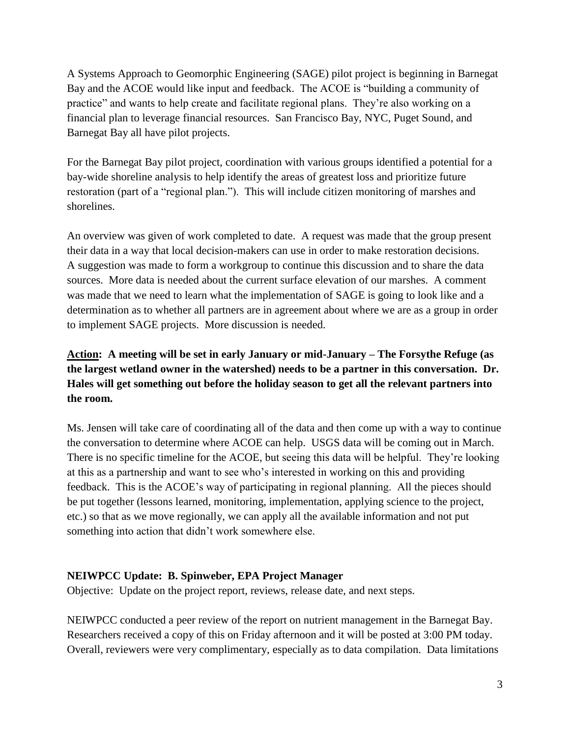A Systems Approach to Geomorphic Engineering (SAGE) pilot project is beginning in Barnegat Bay and the ACOE would like input and feedback. The ACOE is "building a community of practice" and wants to help create and facilitate regional plans. They're also working on a financial plan to leverage financial resources. San Francisco Bay, NYC, Puget Sound, and Barnegat Bay all have pilot projects.

For the Barnegat Bay pilot project, coordination with various groups identified a potential for a bay-wide shoreline analysis to help identify the areas of greatest loss and prioritize future restoration (part of a "regional plan."). This will include citizen monitoring of marshes and shorelines.

An overview was given of work completed to date. A request was made that the group present their data in a way that local decision-makers can use in order to make restoration decisions. A suggestion was made to form a workgroup to continue this discussion and to share the data sources. More data is needed about the current surface elevation of our marshes. A comment was made that we need to learn what the implementation of SAGE is going to look like and a determination as to whether all partners are in agreement about where we are as a group in order to implement SAGE projects. More discussion is needed.

## **Action: A meeting will be set in early January or mid-January – The Forsythe Refuge (as the largest wetland owner in the watershed) needs to be a partner in this conversation. Dr. Hales will get something out before the holiday season to get all the relevant partners into the room.**

Ms. Jensen will take care of coordinating all of the data and then come up with a way to continue the conversation to determine where ACOE can help. USGS data will be coming out in March. There is no specific timeline for the ACOE, but seeing this data will be helpful. They're looking at this as a partnership and want to see who's interested in working on this and providing feedback. This is the ACOE's way of participating in regional planning. All the pieces should be put together (lessons learned, monitoring, implementation, applying science to the project, etc.) so that as we move regionally, we can apply all the available information and not put something into action that didn't work somewhere else.

## **NEIWPCC Update: B. Spinweber, EPA Project Manager**

Objective: Update on the project report, reviews, release date, and next steps.

NEIWPCC conducted a peer review of the report on nutrient management in the Barnegat Bay. Researchers received a copy of this on Friday afternoon and it will be posted at 3:00 PM today. Overall, reviewers were very complimentary, especially as to data compilation. Data limitations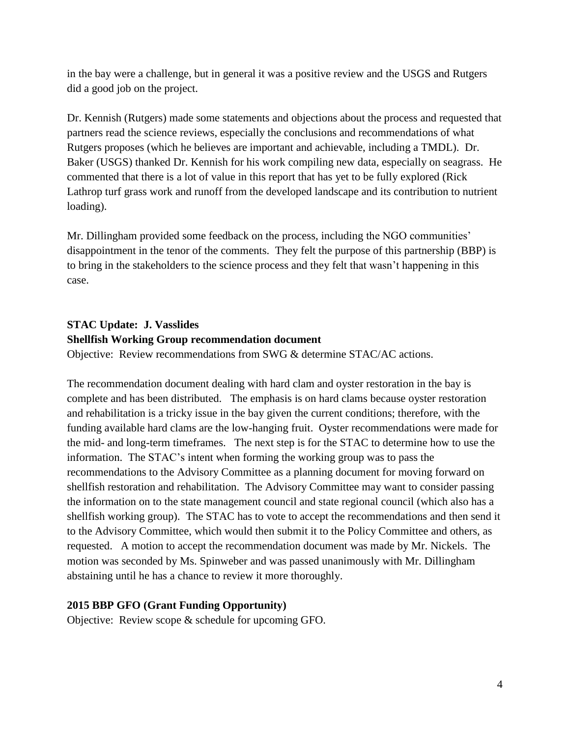in the bay were a challenge, but in general it was a positive review and the USGS and Rutgers did a good job on the project.

Dr. Kennish (Rutgers) made some statements and objections about the process and requested that partners read the science reviews, especially the conclusions and recommendations of what Rutgers proposes (which he believes are important and achievable, including a TMDL). Dr. Baker (USGS) thanked Dr. Kennish for his work compiling new data, especially on seagrass. He commented that there is a lot of value in this report that has yet to be fully explored (Rick Lathrop turf grass work and runoff from the developed landscape and its contribution to nutrient loading).

Mr. Dillingham provided some feedback on the process, including the NGO communities' disappointment in the tenor of the comments. They felt the purpose of this partnership (BBP) is to bring in the stakeholders to the science process and they felt that wasn't happening in this case.

#### **STAC Update: J. Vasslides**

#### **Shellfish Working Group recommendation document**

Objective: Review recommendations from SWG & determine STAC/AC actions.

The recommendation document dealing with hard clam and oyster restoration in the bay is complete and has been distributed. The emphasis is on hard clams because oyster restoration and rehabilitation is a tricky issue in the bay given the current conditions; therefore, with the funding available hard clams are the low-hanging fruit. Oyster recommendations were made for the mid- and long-term timeframes. The next step is for the STAC to determine how to use the information. The STAC's intent when forming the working group was to pass the recommendations to the Advisory Committee as a planning document for moving forward on shellfish restoration and rehabilitation. The Advisory Committee may want to consider passing the information on to the state management council and state regional council (which also has a shellfish working group). The STAC has to vote to accept the recommendations and then send it to the Advisory Committee, which would then submit it to the Policy Committee and others, as requested. A motion to accept the recommendation document was made by Mr. Nickels. The motion was seconded by Ms. Spinweber and was passed unanimously with Mr. Dillingham abstaining until he has a chance to review it more thoroughly.

#### **2015 BBP GFO (Grant Funding Opportunity)**

Objective: Review scope & schedule for upcoming GFO.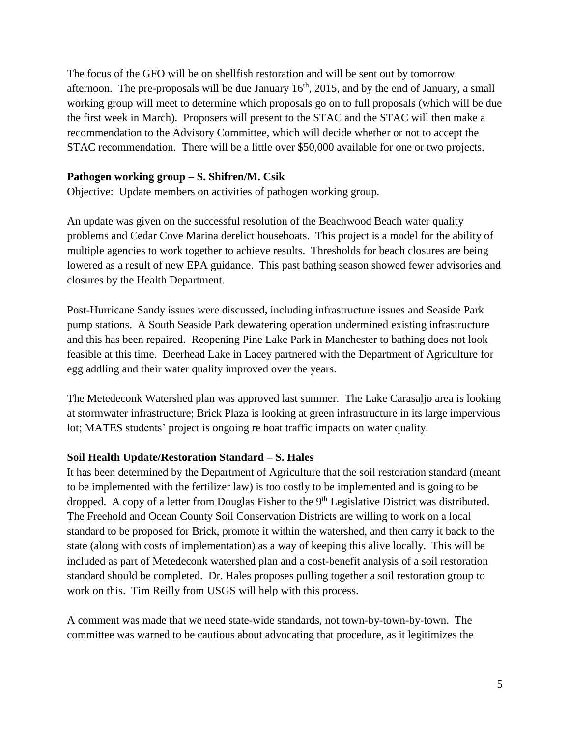The focus of the GFO will be on shellfish restoration and will be sent out by tomorrow afternoon. The pre-proposals will be due January  $16<sup>th</sup>$ , 2015, and by the end of January, a small working group will meet to determine which proposals go on to full proposals (which will be due the first week in March). Proposers will present to the STAC and the STAC will then make a recommendation to the Advisory Committee, which will decide whether or not to accept the STAC recommendation. There will be a little over \$50,000 available for one or two projects.

#### **Pathogen working group – S. Shifren/M. Csik**

Objective: Update members on activities of pathogen working group.

An update was given on the successful resolution of the Beachwood Beach water quality problems and Cedar Cove Marina derelict houseboats. This project is a model for the ability of multiple agencies to work together to achieve results. Thresholds for beach closures are being lowered as a result of new EPA guidance. This past bathing season showed fewer advisories and closures by the Health Department.

Post-Hurricane Sandy issues were discussed, including infrastructure issues and Seaside Park pump stations. A South Seaside Park dewatering operation undermined existing infrastructure and this has been repaired. Reopening Pine Lake Park in Manchester to bathing does not look feasible at this time. Deerhead Lake in Lacey partnered with the Department of Agriculture for egg addling and their water quality improved over the years.

The Metedeconk Watershed plan was approved last summer. The Lake Carasaljo area is looking at stormwater infrastructure; Brick Plaza is looking at green infrastructure in its large impervious lot; MATES students' project is ongoing re boat traffic impacts on water quality.

#### **Soil Health Update/Restoration Standard – S. Hales**

It has been determined by the Department of Agriculture that the soil restoration standard (meant to be implemented with the fertilizer law) is too costly to be implemented and is going to be dropped. A copy of a letter from Douglas Fisher to the 9<sup>th</sup> Legislative District was distributed. The Freehold and Ocean County Soil Conservation Districts are willing to work on a local standard to be proposed for Brick, promote it within the watershed, and then carry it back to the state (along with costs of implementation) as a way of keeping this alive locally. This will be included as part of Metedeconk watershed plan and a cost-benefit analysis of a soil restoration standard should be completed. Dr. Hales proposes pulling together a soil restoration group to work on this. Tim Reilly from USGS will help with this process.

A comment was made that we need state-wide standards, not town-by-town-by-town. The committee was warned to be cautious about advocating that procedure, as it legitimizes the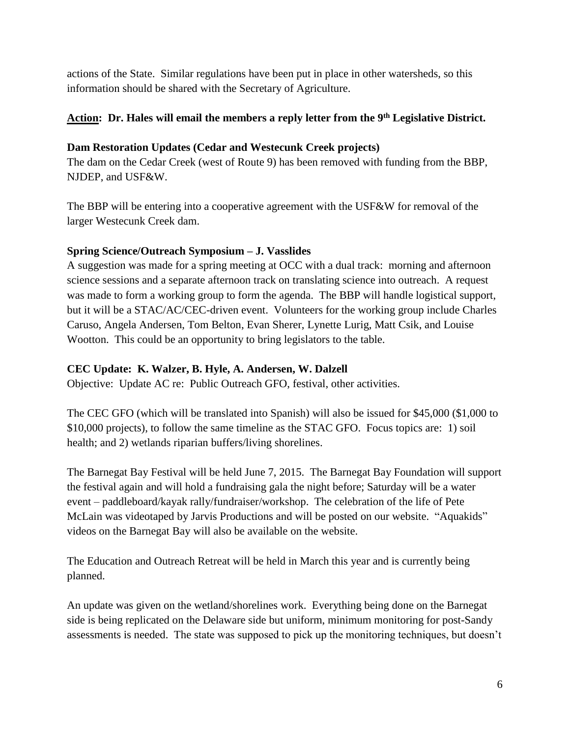actions of the State. Similar regulations have been put in place in other watersheds, so this information should be shared with the Secretary of Agriculture.

### **Action: Dr. Hales will email the members a reply letter from the 9th Legislative District.**

#### **Dam Restoration Updates (Cedar and Westecunk Creek projects)**

The dam on the Cedar Creek (west of Route 9) has been removed with funding from the BBP, NJDEP, and USF&W.

The BBP will be entering into a cooperative agreement with the USF&W for removal of the larger Westecunk Creek dam.

#### **Spring Science/Outreach Symposium – J. Vasslides**

A suggestion was made for a spring meeting at OCC with a dual track: morning and afternoon science sessions and a separate afternoon track on translating science into outreach. A request was made to form a working group to form the agenda. The BBP will handle logistical support, but it will be a STAC/AC/CEC-driven event. Volunteers for the working group include Charles Caruso, Angela Andersen, Tom Belton, Evan Sherer, Lynette Lurig, Matt Csik, and Louise Wootton. This could be an opportunity to bring legislators to the table.

#### **CEC Update: K. Walzer, B. Hyle, A. Andersen, W. Dalzell**

Objective: Update AC re: Public Outreach GFO, festival, other activities.

The CEC GFO (which will be translated into Spanish) will also be issued for \$45,000 (\$1,000 to \$10,000 projects), to follow the same timeline as the STAC GFO. Focus topics are: 1) soil health; and 2) wetlands riparian buffers/living shorelines.

The Barnegat Bay Festival will be held June 7, 2015. The Barnegat Bay Foundation will support the festival again and will hold a fundraising gala the night before; Saturday will be a water event – paddleboard/kayak rally/fundraiser/workshop. The celebration of the life of Pete McLain was videotaped by Jarvis Productions and will be posted on our website. "Aquakids" videos on the Barnegat Bay will also be available on the website.

The Education and Outreach Retreat will be held in March this year and is currently being planned.

An update was given on the wetland/shorelines work. Everything being done on the Barnegat side is being replicated on the Delaware side but uniform, minimum monitoring for post-Sandy assessments is needed. The state was supposed to pick up the monitoring techniques, but doesn't